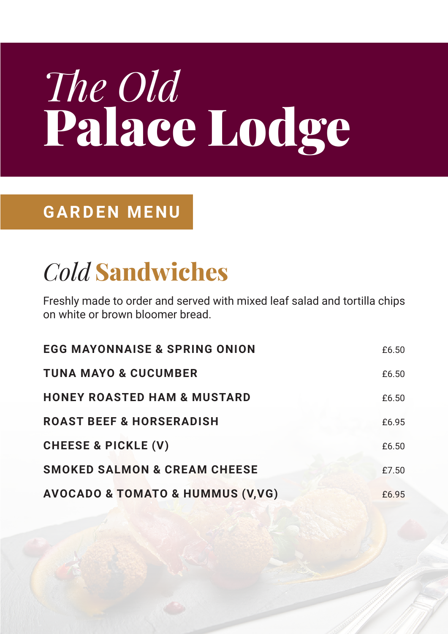# *The Old* Palace Lodge

#### **GARDEN MENU**

## *Cold* Sandwiches

Freshly made to order and served with mixed leaf salad and tortilla chips on white or brown bloomer bread.

| <b>EGG MAYONNAISE &amp; SPRING ONION</b>        | £6.50 |
|-------------------------------------------------|-------|
| <b>TUNA MAYO &amp; CUCUMBER</b>                 | £6.50 |
| <b>HONEY ROASTED HAM &amp; MUSTARD</b>          | £6.50 |
| <b>ROAST BEEF &amp; HORSERADISH</b>             | £6.95 |
| <b>CHEESE &amp; PICKLE (V)</b>                  | £6.50 |
| <b>SMOKED SALMON &amp; CREAM CHEESE</b>         | £7.50 |
| <b>AVOCADO &amp; TOMATO &amp; HUMMUS (V,VG)</b> | £6.95 |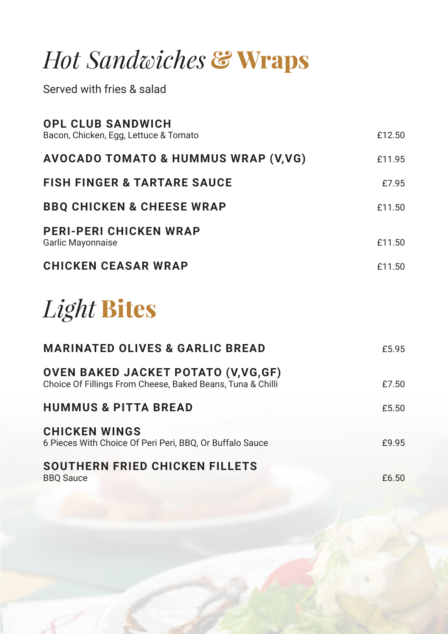### *Hot Sandwiches* & Wraps

Served with fries & salad

| <b>OPL CLUB SANDWICH</b><br>Bacon, Chicken, Egg, Lettuce & Tomato | £12.50 |
|-------------------------------------------------------------------|--------|
| <b>AVOCADO TOMATO &amp; HUMMUS WRAP (V,VG)</b>                    | £11.95 |
| <b>FISH FINGER &amp; TARTARE SAUCE</b>                            | £7.95  |
| <b>BBQ CHICKEN &amp; CHEESE WRAP</b>                              | £11.50 |
| <b>PERI-PERI CHICKEN WRAP</b><br><b>Garlic Mayonnaise</b>         | £11.50 |
| <b>CHICKEN CEASAR WRAP</b>                                        | £11.50 |
|                                                                   |        |

### *Light* Bites

| <b>MARINATED OLIVES &amp; GARLIC BREAD</b>                                                                | £5.95 |
|-----------------------------------------------------------------------------------------------------------|-------|
| <b>OVEN BAKED JACKET POTATO (V, VG, GF)</b><br>Choice Of Fillings From Cheese, Baked Beans, Tuna & Chilli | £7.50 |
| <b>HUMMUS &amp; PITTA BREAD</b>                                                                           | £5.50 |
| <b>CHICKEN WINGS</b><br>6 Pieces With Choice Of Peri Peri, BBQ, Or Buffalo Sauce                          | £9.95 |
| SOUTHERN FRIED CHICKEN FILLETS<br><b>BBQ Sauce</b>                                                        | £6.50 |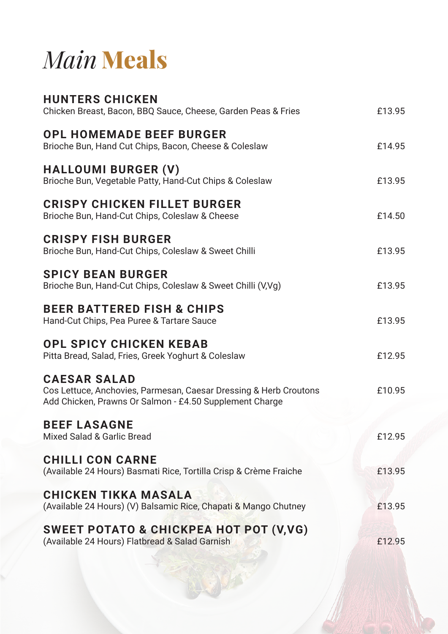## *Main* Meals

| <b>HUNTERS CHICKEN</b><br>Chicken Breast, Bacon, BBQ Sauce, Cheese, Garden Peas & Fries                                                             | £13.95 |
|-----------------------------------------------------------------------------------------------------------------------------------------------------|--------|
| <b>OPL HOMEMADE BEEF BURGER</b><br>Brioche Bun, Hand Cut Chips, Bacon, Cheese & Coleslaw                                                            | £14.95 |
| <b>HALLOUMI BURGER (V)</b><br>Brioche Bun, Vegetable Patty, Hand-Cut Chips & Coleslaw                                                               | £13.95 |
| <b>CRISPY CHICKEN FILLET BURGER</b><br>Brioche Bun, Hand-Cut Chips, Coleslaw & Cheese                                                               | £14.50 |
| <b>CRISPY FISH BURGER</b><br>Brioche Bun, Hand-Cut Chips, Coleslaw & Sweet Chilli                                                                   | £13.95 |
| <b>SPICY BEAN BURGER</b><br>Brioche Bun, Hand-Cut Chips, Coleslaw & Sweet Chilli (V,Vg)                                                             | £13.95 |
| <b>BEER BATTERED FISH &amp; CHIPS</b><br>Hand-Cut Chips, Pea Puree & Tartare Sauce                                                                  | £13.95 |
| <b>OPL SPICY CHICKEN KEBAB</b><br>Pitta Bread, Salad, Fries, Greek Yoghurt & Coleslaw                                                               | £12.95 |
| <b>CAESAR SALAD</b><br>Cos Lettuce, Anchovies, Parmesan, Caesar Dressing & Herb Croutons<br>Add Chicken, Prawns Or Salmon - £4.50 Supplement Charge | £10.95 |
| <b>BEEF LASAGNE</b><br><b>Mixed Salad &amp; Garlic Bread</b>                                                                                        | £12.95 |
| <b>CHILLI CON CARNE</b><br>(Available 24 Hours) Basmati Rice, Tortilla Crisp & Crème Fraiche                                                        | £13.95 |
| <b>CHICKEN TIKKA MASALA</b><br>(Available 24 Hours) (V) Balsamic Rice, Chapati & Mango Chutney                                                      | £13.95 |
| SWEET POTATO & CHICKPEA HOT POT (V, VG)<br>(Available 24 Hours) Flatbread & Salad Garnish                                                           | £12.95 |
|                                                                                                                                                     |        |